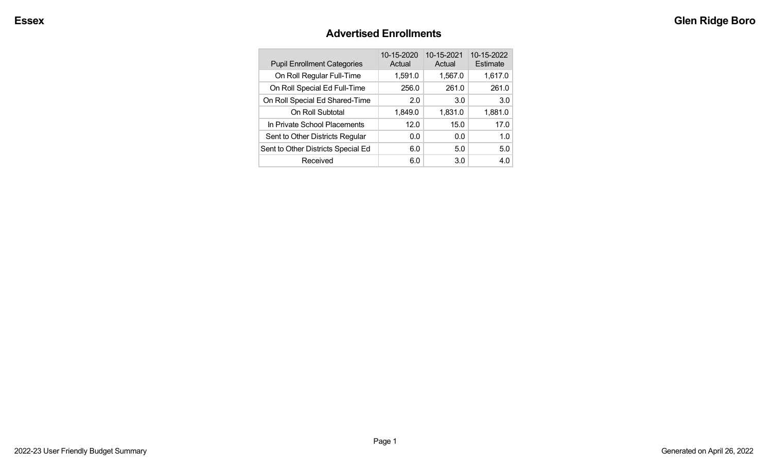#### **Advertised Enrollments**

| <b>Pupil Enrollment Categories</b> | 10-15-2020<br>Actual | 10-15-2021<br>Actual | 10-15-2022<br>Estimate |
|------------------------------------|----------------------|----------------------|------------------------|
| On Roll Regular Full-Time          | 1,591.0              | 1,567.0              | 1,617.0                |
| On Roll Special Ed Full-Time       | 256.0                | 261.0                | 261.0                  |
| On Roll Special Ed Shared-Time     | 2.0                  | 3.0                  | 3.0                    |
| On Roll Subtotal                   | 1,849.0              | 1,831.0              | 1,881.0                |
| In Private School Placements       | 12.0                 | 15.0                 | 17.0                   |
| Sent to Other Districts Regular    | 0.0                  | 0.0                  | 1.0                    |
| Sent to Other Districts Special Ed | 6.0                  | 5.0                  | 5.0                    |
| Received                           | 6.0                  | 3.0                  | 4.0                    |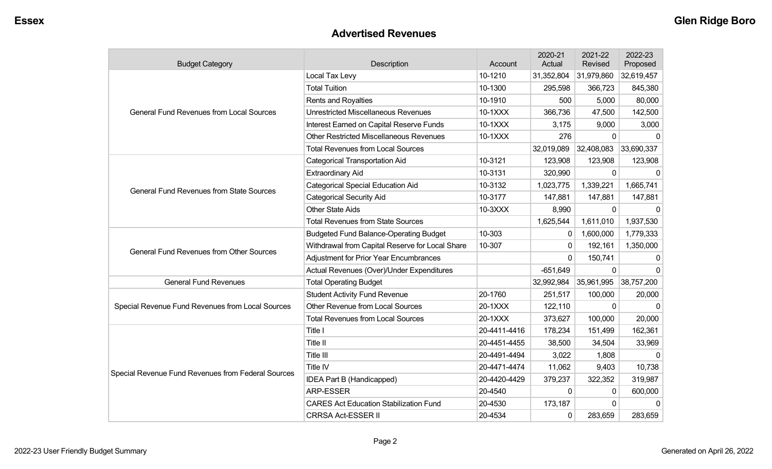#### **Advertised Revenues**

| <b>Budget Category</b>                             | Description                                     | Account      | 2020-21<br>Actual | 2021-22<br>Revised | 2022-23<br>Proposed |
|----------------------------------------------------|-------------------------------------------------|--------------|-------------------|--------------------|---------------------|
|                                                    | Local Tax Levy                                  | 10-1210      | 31,352,804        | 31,979,860         | 32,619,457          |
|                                                    | <b>Total Tuition</b>                            | 10-1300      | 295,598           | 366,723            | 845,380             |
|                                                    | Rents and Royalties                             | 10-1910      | 500               | 5,000              | 80,000              |
| <b>General Fund Revenues from Local Sources</b>    | <b>Unrestricted Miscellaneous Revenues</b>      | 10-1XXX      | 366,736           | 47,500             | 142,500             |
|                                                    | Interest Earned on Capital Reserve Funds        | 10-1XXX      | 3,175             | 9,000              | 3,000               |
|                                                    | <b>Other Restricted Miscellaneous Revenues</b>  | 10-1XXX      | 276               | $\Omega$           | $\Omega$            |
|                                                    | <b>Total Revenues from Local Sources</b>        |              | 32,019,089        | 32,408,083         | 33,690,337          |
|                                                    | <b>Categorical Transportation Aid</b>           | 10-3121      | 123,908           | 123,908            | 123,908             |
|                                                    | <b>Extraordinary Aid</b>                        | 10-3131      | 320,990           | $\Omega$           | $\Omega$            |
| <b>General Fund Revenues from State Sources</b>    | <b>Categorical Special Education Aid</b>        | 10-3132      | 1,023,775         | 1,339,221          | 1,665,741           |
|                                                    | <b>Categorical Security Aid</b>                 | 10-3177      | 147,881           | 147,881            | 147,881             |
|                                                    | <b>Other State Aids</b>                         | 10-3XXX      | 8,990             | $\Omega$           | $\Omega$            |
|                                                    | <b>Total Revenues from State Sources</b>        |              | 1,625,544         | 1,611,010          | 1,937,530           |
|                                                    | <b>Budgeted Fund Balance-Operating Budget</b>   | 10-303       | 0                 | 1,600,000          | 1,779,333           |
| <b>General Fund Revenues from Other Sources</b>    | Withdrawal from Capital Reserve for Local Share | 10-307       | $\mathbf{0}$      | 192,161            | 1,350,000           |
|                                                    | <b>Adjustment for Prior Year Encumbrances</b>   |              | 0                 | 150,741            | 0                   |
|                                                    | Actual Revenues (Over)/Under Expenditures       |              | $-651,649$        | $\mathbf 0$        | $\Omega$            |
| <b>General Fund Revenues</b>                       | <b>Total Operating Budget</b>                   |              | 32,992,984        | 35,961,995         | 38,757,200          |
|                                                    | <b>Student Activity Fund Revenue</b>            | 20-1760      | 251,517           | 100,000            | 20,000              |
| Special Revenue Fund Revenues from Local Sources   | Other Revenue from Local Sources                | 20-1XXX      | 122,110           | 0                  | $\mathbf{0}$        |
|                                                    | <b>Total Revenues from Local Sources</b>        | 20-1XXX      | 373,627           | 100,000            | 20,000              |
|                                                    | Title I                                         | 20-4411-4416 | 178,234           | 151,499            | 162,361             |
|                                                    | Title II                                        | 20-4451-4455 | 38,500            | 34,504             | 33,969              |
|                                                    | Title III                                       | 20-4491-4494 | 3,022             | 1,808              | $\Omega$            |
|                                                    | Title IV                                        | 20-4471-4474 | 11,062            | 9,403              | 10,738              |
| Special Revenue Fund Revenues from Federal Sources | IDEA Part B (Handicapped)                       | 20-4420-4429 | 379,237           | 322,352            | 319,987             |
|                                                    | ARP-ESSER                                       | 20-4540      | $\mathbf 0$       | 0                  | 600,000             |
|                                                    | <b>CARES Act Education Stabilization Fund</b>   | 20-4530      | 173,187           | $\Omega$           |                     |
|                                                    | <b>CRRSA Act-ESSER II</b>                       | 20-4534      | 0                 | 283,659            | 283,659             |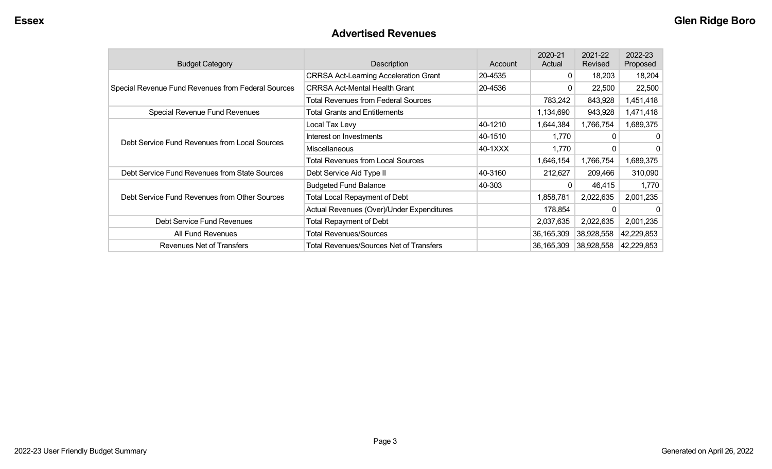#### **Advertised Revenues**

| <b>Budget Category</b>                             | Description                                  | Account | 2020-21<br>Actual | 2021-22<br>Revised | 2022-23<br>Proposed |
|----------------------------------------------------|----------------------------------------------|---------|-------------------|--------------------|---------------------|
|                                                    | <b>CRRSA Act-Learning Acceleration Grant</b> | 20-4535 | $\mathbf{0}$      | 18,203             | 18,204              |
| Special Revenue Fund Revenues from Federal Sources | <b>CRRSA Act-Mental Health Grant</b>         | 20-4536 | 0                 | 22,500             | 22,500              |
|                                                    | Total Revenues from Federal Sources          |         | 783,242           | 843,928            | 1,451,418           |
| Special Revenue Fund Revenues                      | <b>Total Grants and Entitlements</b>         |         | 1,134,690         | 943,928            | 1,471,418           |
|                                                    | Local Tax Levy                               | 40-1210 | 1,644,384         | 1,766,754          | 1,689,375           |
|                                                    | Interest on Investments                      | 40-1510 | 1,770             | 0                  | 0                   |
| Debt Service Fund Revenues from Local Sources      | <b>Miscellaneous</b>                         | 40-1XXX | 1,770             | 0                  | 0                   |
|                                                    | Total Revenues from Local Sources            |         | 1,646,154         | 1,766,754          | 1,689,375           |
| Debt Service Fund Revenues from State Sources      | Debt Service Aid Type II                     | 40-3160 | 212,627           | 209,466            | 310,090             |
|                                                    | <b>Budgeted Fund Balance</b>                 | 40-303  | $\Omega$          | 46,415             | 1,770               |
| Debt Service Fund Revenues from Other Sources      | <b>Total Local Repayment of Debt</b>         |         | 1,858,781         | 2,022,635          | 2,001,235           |
|                                                    | Actual Revenues (Over)/Under Expenditures    |         | 178,854           |                    | 0                   |
| Debt Service Fund Revenues                         | Total Repayment of Debt                      |         | 2,037,635         | 2,022,635          | 2,001,235           |
| All Fund Revenues                                  | <b>Total Revenues/Sources</b>                |         | 36,165,309        | 38,928,558         | 42,229,853          |
| <b>Revenues Net of Transfers</b>                   | Total Revenues/Sources Net of Transfers      |         | 36,165,309        | 38,928,558         | 42,229,853          |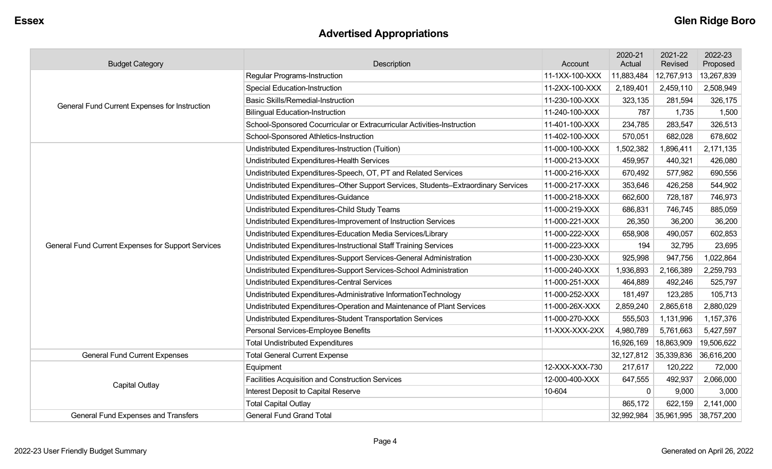# **Advertised Appropriations**

| <b>Budget Category</b>                             | Description                                                                        | Account        | 2020-21<br>Actual | 2021-22<br>Revised      | 2022-23<br>Proposed |
|----------------------------------------------------|------------------------------------------------------------------------------------|----------------|-------------------|-------------------------|---------------------|
|                                                    | <b>Regular Programs-Instruction</b>                                                | 11-1XX-100-XXX | 11,883,484        | 12,767,913              | 13,267,839          |
|                                                    | <b>Special Education-Instruction</b>                                               | 11-2XX-100-XXX | 2,189,401         | 2,459,110               | 2,508,949           |
| General Fund Current Expenses for Instruction      | <b>Basic Skills/Remedial-Instruction</b>                                           | 11-230-100-XXX | 323,135           | 281,594                 | 326,175             |
|                                                    | <b>Bilingual Education-Instruction</b>                                             | 11-240-100-XXX | 787               | 1,735                   | 1,500               |
|                                                    | School-Sponsored Cocurricular or Extracurricular Activities-Instruction            | 11-401-100-XXX | 234,785           | 283,547                 | 326,513             |
|                                                    | School-Sponsored Athletics-Instruction                                             | 11-402-100-XXX | 570,051           | 682,028                 | 678,602             |
|                                                    | Undistributed Expenditures-Instruction (Tuition)                                   | 11-000-100-XXX | 1,502,382         | 1,896,411               | 2,171,135           |
|                                                    | Undistributed Expenditures-Health Services                                         | 11-000-213-XXX | 459,957           | 440,321                 | 426,080             |
|                                                    | Undistributed Expenditures-Speech, OT, PT and Related Services                     | 11-000-216-XXX | 670,492           | 577,982                 | 690,556             |
|                                                    | Undistributed Expenditures-Other Support Services, Students-Extraordinary Services | 11-000-217-XXX | 353,646           | 426,258                 | 544,902             |
|                                                    | <b>Undistributed Expenditures-Guidance</b>                                         | 11-000-218-XXX | 662,600           | 728,187                 | 746,973             |
|                                                    | Undistributed Expenditures-Child Study Teams                                       | 11-000-219-XXX | 686,831           | 746,745                 | 885,059             |
|                                                    | Undistributed Expenditures-Improvement of Instruction Services                     | 11-000-221-XXX | 26,350            | 36,200                  | 36,200              |
|                                                    | Undistributed Expenditures-Education Media Services/Library                        | 11-000-222-XXX | 658,908           | 490,057                 | 602,853             |
| General Fund Current Expenses for Support Services | Undistributed Expenditures-Instructional Staff Training Services                   | 11-000-223-XXX | 194               | 32,795                  | 23,695              |
|                                                    | Undistributed Expenditures-Support Services-General Administration                 | 11-000-230-XXX | 925,998           | 947,756                 | 1,022,864           |
|                                                    | Undistributed Expenditures-Support Services-School Administration                  | 11-000-240-XXX | 1,936,893         | 2,166,389               | 2,259,793           |
|                                                    | Undistributed Expenditures-Central Services                                        | 11-000-251-XXX | 464,889           | 492,246                 | 525,797             |
|                                                    | Undistributed Expenditures-Administrative InformationTechnology                    | 11-000-252-XXX | 181,497           | 123,285                 | 105,713             |
|                                                    | Undistributed Expenditures-Operation and Maintenance of Plant Services             | 11-000-26X-XXX | 2,859,240         | 2,865,618               | 2,880,029           |
|                                                    | Undistributed Expenditures-Student Transportation Services                         | 11-000-270-XXX | 555,503           | 1,131,996               | 1,157,376           |
|                                                    | Personal Services-Employee Benefits                                                | 11-XXX-XXX-2XX | 4,980,789         | 5,761,663               | 5,427,597           |
|                                                    | <b>Total Undistributed Expenditures</b>                                            |                | 16,926,169        | 18,863,909              | 19,506,622          |
| <b>General Fund Current Expenses</b>               | <b>Total General Current Expense</b>                                               |                | 32,127,812        | 35,339,836              | 36,616,200          |
|                                                    | Equipment                                                                          | 12-XXX-XXX-730 | 217,617           | 120,222                 | 72,000              |
| Capital Outlay                                     | Facilities Acquisition and Construction Services                                   | 12-000-400-XXX | 647,555           | 492,937                 | 2,066,000           |
|                                                    | Interest Deposit to Capital Reserve                                                | 10-604         | $\Omega$          | 9,000                   | 3,000               |
|                                                    | <b>Total Capital Outlay</b>                                                        |                | 865,172           | 622,159                 | 2,141,000           |
| General Fund Expenses and Transfers                | <b>General Fund Grand Total</b>                                                    |                | 32,992,984        | $35,961,995$ 38,757,200 |                     |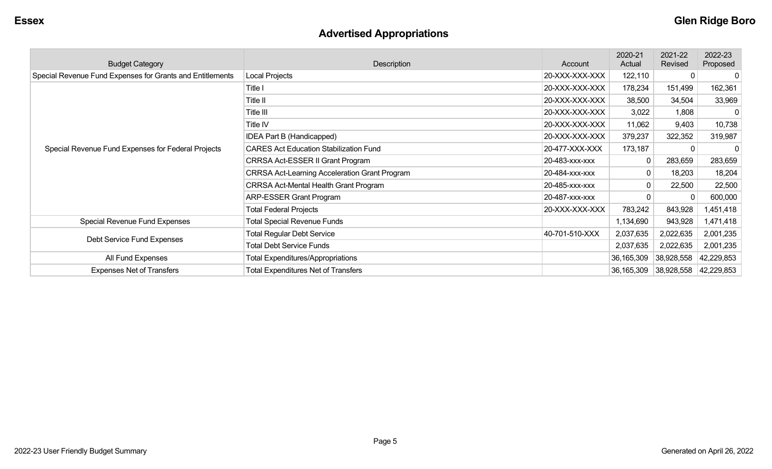# **Advertised Appropriations**

| <b>Budget Category</b>                                    | Description                                          | Account        | 2020-21<br>Actual | 2021-22<br>Revised            | 2022-23<br>Proposed |
|-----------------------------------------------------------|------------------------------------------------------|----------------|-------------------|-------------------------------|---------------------|
| Special Revenue Fund Expenses for Grants and Entitlements | Local Projects                                       | 20-XXX-XXX-XXX | 122,110           | $\Omega$                      | -0                  |
|                                                           | Title I                                              | 20-XXX-XXX-XXX | 178,234           | 151,499                       | 162,361             |
|                                                           | Title II                                             | 20-XXX-XXX-XXX | 38,500            | 34,504                        | 33,969              |
|                                                           | Title III                                            | 20-XXX-XXX-XXX | 3,022             | 1,808                         | -0                  |
|                                                           | Title IV                                             | 20-XXX-XXX-XXX | 11,062            | 9,403                         | 10,738              |
|                                                           | IDEA Part B (Handicapped)                            | 20-XXX-XXX-XXX | 379,237           | 322,352                       | 319,987             |
| Special Revenue Fund Expenses for Federal Projects        | <b>CARES Act Education Stabilization Fund</b>        | 20-477-XXX-XXX | 173,187           | $\Omega$                      | -0                  |
|                                                           | CRRSA Act-ESSER II Grant Program                     | 20-483-xxx-xxx |                   | 283,659                       | 283,659             |
|                                                           | <b>CRRSA Act-Learning Acceleration Grant Program</b> | 20-484-xxx-xxx |                   | 18,203                        | 18,204              |
|                                                           | <b>CRRSA Act-Mental Health Grant Program</b>         | 20-485-xxx-xxx |                   | 22,500                        | 22,500              |
|                                                           | <b>ARP-ESSER Grant Program</b>                       | 20-487-XXX-XXX |                   | $\Omega$                      | 600,000             |
|                                                           | <b>Total Federal Projects</b>                        | 20-XXX-XXX-XXX | 783,242           | 843,928                       | 1,451,418           |
| Special Revenue Fund Expenses                             | <b>Total Special Revenue Funds</b>                   |                | 1,134,690         | 943,928                       | 1,471,418           |
| Debt Service Fund Expenses                                | <b>Total Regular Debt Service</b>                    | 40-701-510-XXX | 2,037,635         | 2,022,635                     | 2,001,235           |
|                                                           | <b>Total Debt Service Funds</b>                      |                | 2,037,635         | 2,022,635                     | 2,001,235           |
| All Fund Expenses                                         | <b>Total Expenditures/Appropriations</b>             |                | 36,165,309        | 38,928,558                    | 42,229,853          |
| <b>Expenses Net of Transfers</b>                          | <b>Total Expenditures Net of Transfers</b>           |                | 36,165,309        | $ 38,928,558 \t   42,229,853$ |                     |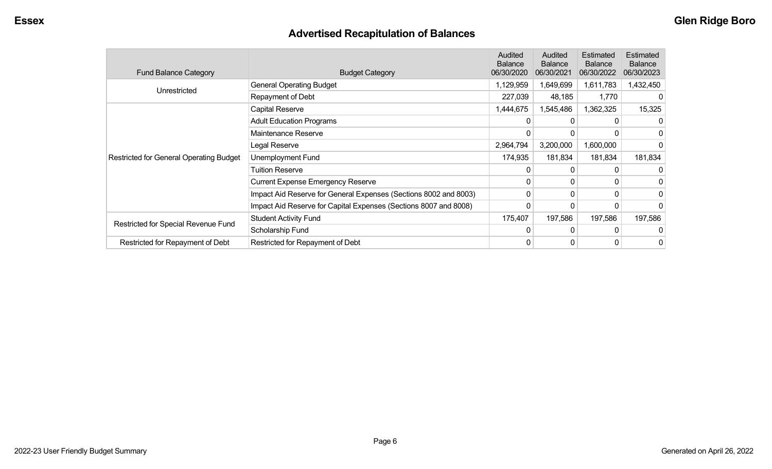# **Advertised Recapitulation of Balances**

| <b>Fund Balance Category</b>                   | <b>Budget Category</b>                                           | <b>Audited</b><br><b>Balance</b><br>06/30/2020 | Audited<br><b>Balance</b><br>06/30/2021 | Estimated<br><b>Balance</b><br>06/30/2022 | Estimated<br><b>Balance</b><br>06/30/2023 |
|------------------------------------------------|------------------------------------------------------------------|------------------------------------------------|-----------------------------------------|-------------------------------------------|-------------------------------------------|
| Unrestricted                                   | <b>General Operating Budget</b>                                  | 1,129,959                                      | 1,649,699                               | 1,611,783                                 | 1,432,450                                 |
|                                                | Repayment of Debt                                                | 227,039                                        | 48,185                                  | 1,770                                     |                                           |
|                                                | Capital Reserve                                                  | 1,444,675                                      | 1,545,486                               | 1,362,325                                 | 15,325                                    |
|                                                | <b>Adult Education Programs</b>                                  |                                                |                                         |                                           | 0                                         |
|                                                | Maintenance Reserve                                              | 0                                              |                                         |                                           | 0                                         |
|                                                | Legal Reserve                                                    | 2,964,794                                      | 3,200,000                               | 1,600,000                                 |                                           |
| <b>Restricted for General Operating Budget</b> | Unemployment Fund                                                | 174,935                                        | 181,834                                 | 181,834                                   | 181,834                                   |
|                                                | <b>Tuition Reserve</b>                                           | 0                                              |                                         |                                           |                                           |
|                                                | <b>Current Expense Emergency Reserve</b>                         | 0                                              | $\Omega$                                | 0                                         | 0                                         |
|                                                | Impact Aid Reserve for General Expenses (Sections 8002 and 8003) | 0                                              | $\Omega$                                | $\Omega$                                  | 0                                         |
|                                                | Impact Aid Reserve for Capital Expenses (Sections 8007 and 8008) | 0                                              | 0                                       | 0                                         | 0                                         |
|                                                | <b>Student Activity Fund</b>                                     | 175,407                                        | 197,586                                 | 197,586                                   | 197,586                                   |
| Restricted for Special Revenue Fund            | Scholarship Fund                                                 | 0                                              | $\Omega$                                | <sup>0</sup>                              |                                           |
| Restricted for Repayment of Debt               | Restricted for Repayment of Debt                                 | 0                                              | 0                                       | 0                                         | 0                                         |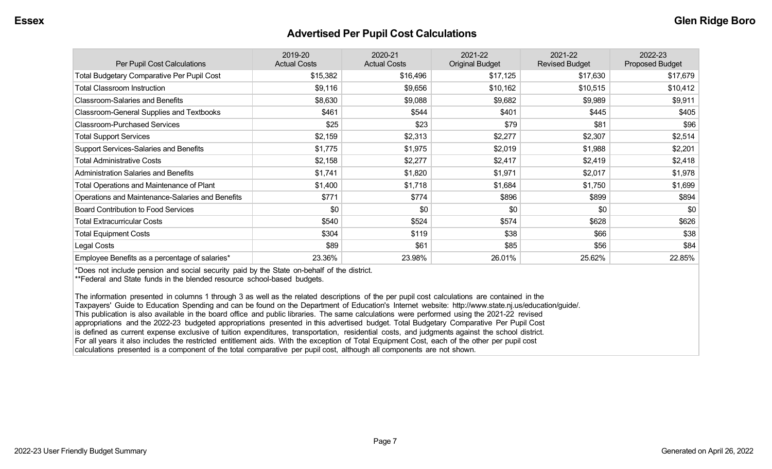#### **Advertised Per Pupil Cost Calculations**

| Per Pupil Cost Calculations                       | 2019-20<br><b>Actual Costs</b> | 2020-21<br><b>Actual Costs</b> | 2021-22<br><b>Original Budget</b> | 2021-22<br><b>Revised Budget</b> | 2022-23<br>Proposed Budget |
|---------------------------------------------------|--------------------------------|--------------------------------|-----------------------------------|----------------------------------|----------------------------|
| <b>Total Budgetary Comparative Per Pupil Cost</b> | \$15,382                       | \$16,496                       | \$17,125                          | \$17,630                         | \$17,679                   |
| <b>Total Classroom Instruction</b>                | \$9,116                        | \$9,656                        | \$10,162                          | \$10,515                         | \$10,412                   |
| <b>Classroom-Salaries and Benefits</b>            | \$8,630                        | \$9,088                        | \$9,682                           | \$9,989                          | \$9,911                    |
| <b>Classroom-General Supplies and Textbooks</b>   | \$461                          | \$544                          | \$401                             | \$445                            | \$405                      |
| <b>Classroom-Purchased Services</b>               | \$25                           | \$23                           | \$79                              | \$81                             | \$96                       |
| <b>Total Support Services</b>                     | \$2,159                        | \$2,313                        | \$2,277                           | \$2,307                          | \$2,514                    |
| Support Services-Salaries and Benefits            | \$1,775                        | \$1,975                        | \$2,019                           | \$1,988                          | \$2,201                    |
| <b>Total Administrative Costs</b>                 | \$2,158                        | \$2,277                        | \$2,417                           | \$2,419                          | \$2,418                    |
| <b>Administration Salaries and Benefits</b>       | \$1,741                        | \$1,820                        | \$1,971                           | \$2,017                          | \$1,978                    |
| Total Operations and Maintenance of Plant         | \$1,400                        | \$1,718                        | \$1,684                           | \$1,750                          | \$1,699                    |
| Operations and Maintenance-Salaries and Benefits  | \$771                          | \$774                          | \$896                             | \$899                            | \$894                      |
| <b>Board Contribution to Food Services</b>        | \$0                            | \$0                            | \$0                               | \$0                              | \$0                        |
| <b>Total Extracurricular Costs</b>                | \$540                          | \$524                          | \$574                             | \$628                            | \$626                      |
| <b>Total Equipment Costs</b>                      | \$304                          | \$119                          | \$38                              | \$66                             | \$38                       |
| Legal Costs                                       | \$89                           | \$61                           | \$85                              | \$56                             | \$84                       |
| Employee Benefits as a percentage of salaries*    | 23.36%                         | 23.98%                         | 26.01%                            | 25.62%                           | 22.85%                     |

\*Does not include pension and social security paid by the State on-behalf of the district.

\*\*Federal and State funds in the blended resource school-based budgets.

The information presented in columns 1 through 3 as well as the related descriptions of the per pupil cost calculations are contained in the Taxpayers' Guide to Education Spending and can be found on the Department of Education's Internet website: http://www.state.nj.us/education/guide/. This publication is also available in the board office and public libraries. The same calculations were performed using the 2021-22 revised appropriations and the 2022-23 budgeted appropriations presented in this advertised budget. Total Budgetary Comparative Per Pupil Cost is defined as current expense exclusive of tuition expenditures, transportation, residential costs, and judgments against the school district. For all years it also includes the restricted entitlement aids. With the exception of Total Equipment Cost, each of the other per pupil cost calculations presented is a component of the total comparative per pupil cost, although all components are not shown.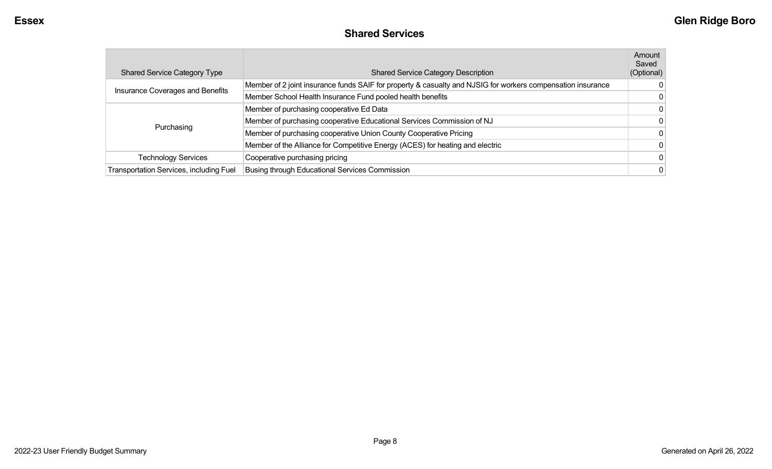| <b>Shared Service Category Type</b>            | <b>Shared Service Category Description</b>                                                                  | Amount<br>Saved<br>(Optional) |
|------------------------------------------------|-------------------------------------------------------------------------------------------------------------|-------------------------------|
| Insurance Coverages and Benefits               | Member of 2 joint insurance funds SAIF for property & casualty and NJSIG for workers compensation insurance |                               |
|                                                | Member School Health Insurance Fund pooled health benefits                                                  |                               |
|                                                | Member of purchasing cooperative Ed Data                                                                    |                               |
|                                                | Member of purchasing cooperative Educational Services Commission of NJ                                      |                               |
| Purchasing                                     | Member of purchasing cooperative Union County Cooperative Pricing                                           |                               |
|                                                | Member of the Alliance for Competitive Energy (ACES) for heating and electric                               |                               |
| Technology Services                            | Cooperative purchasing pricing                                                                              |                               |
| <b>Transportation Services, including Fuel</b> | <b>Busing through Educational Services Commission</b>                                                       |                               |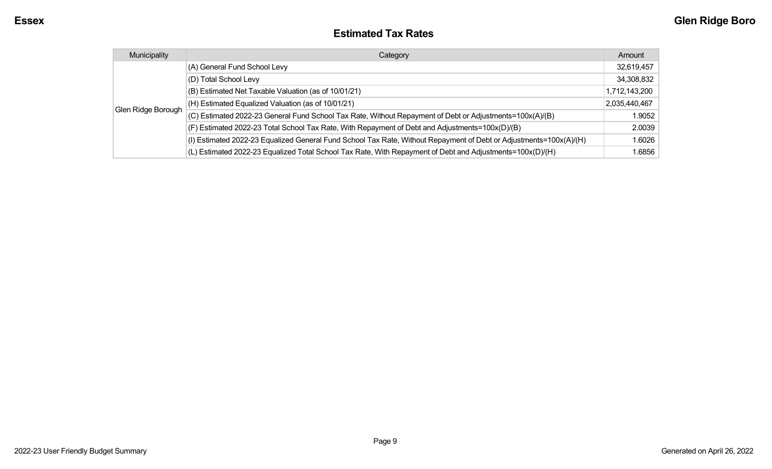#### **Estimated Tax Rates**

| Municipality       | Category                                                                                                           | Amount        |
|--------------------|--------------------------------------------------------------------------------------------------------------------|---------------|
|                    | (A) General Fund School Levy                                                                                       | 32,619,457    |
|                    | (D) Total School Levy                                                                                              | 34,308,832    |
|                    | (B) Estimated Net Taxable Valuation (as of 10/01/21)                                                               | 1,712,143,200 |
|                    | (H) Estimated Equalized Valuation (as of 10/01/21)                                                                 | 2,035,440,467 |
| Glen Ridge Borough | (C) Estimated 2022-23 General Fund School Tax Rate, Without Repayment of Debt or Adjustments=100x(A)/(B)           | 1.9052        |
|                    | (F) Estimated 2022-23 Total School Tax Rate, With Repayment of Debt and Adjustments=100x(D)/(B)                    | 2.0039        |
|                    | (I) Estimated 2022-23 Equalized General Fund School Tax Rate, Without Repayment of Debt or Adjustments=100x(A)/(H) | 1.6026        |
|                    | (L) Estimated 2022-23 Equalized Total School Tax Rate, With Repayment of Debt and Adjustments=100x(D)/(H)          | 1.6856        |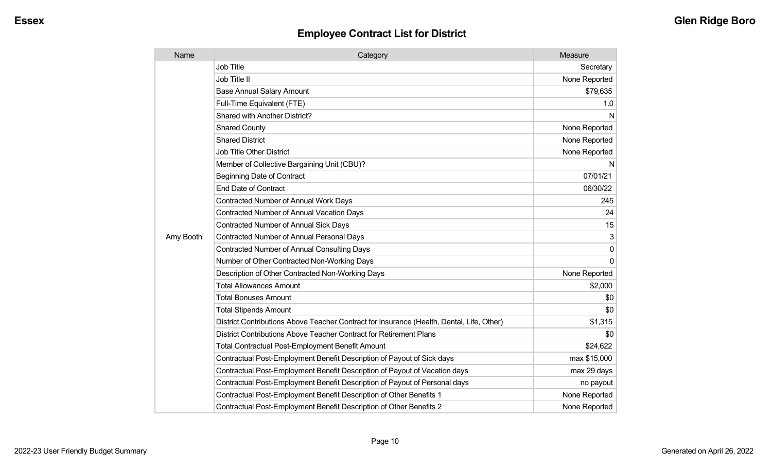| Name      | Category                                                                                  | Measure       |
|-----------|-------------------------------------------------------------------------------------------|---------------|
|           | <b>Job Title</b>                                                                          | Secretary     |
|           | Job Title II                                                                              | None Reported |
|           | <b>Base Annual Salary Amount</b>                                                          | \$79,635      |
|           | Full-Time Equivalent (FTE)                                                                | 1.0           |
|           | Shared with Another District?                                                             | N             |
|           | <b>Shared County</b>                                                                      | None Reported |
|           | <b>Shared District</b>                                                                    | None Reported |
|           | <b>Job Title Other District</b>                                                           | None Reported |
|           | Member of Collective Bargaining Unit (CBU)?                                               | N             |
|           | <b>Beginning Date of Contract</b>                                                         | 07/01/21      |
|           | <b>End Date of Contract</b>                                                               | 06/30/22      |
|           | Contracted Number of Annual Work Days                                                     | 245           |
|           | Contracted Number of Annual Vacation Days                                                 | 24            |
|           | <b>Contracted Number of Annual Sick Days</b>                                              | 15            |
| Amy Booth | <b>Contracted Number of Annual Personal Days</b>                                          | 3             |
|           | Contracted Number of Annual Consulting Days                                               | $\mathbf{0}$  |
|           | Number of Other Contracted Non-Working Days                                               | $\Omega$      |
|           | Description of Other Contracted Non-Working Days                                          | None Reported |
|           | <b>Total Allowances Amount</b>                                                            | \$2,000       |
|           | <b>Total Bonuses Amount</b>                                                               | \$0           |
|           | <b>Total Stipends Amount</b>                                                              | \$0           |
|           | District Contributions Above Teacher Contract for Insurance (Health, Dental, Life, Other) | \$1,315       |
|           | District Contributions Above Teacher Contract for Retirement Plans                        | \$0           |
|           | <b>Total Contractual Post-Employment Benefit Amount</b>                                   | \$24,622      |
|           | Contractual Post-Employment Benefit Description of Payout of Sick days                    | max \$15,000  |
|           | Contractual Post-Employment Benefit Description of Payout of Vacation days                | max 29 days   |
|           | Contractual Post-Employment Benefit Description of Payout of Personal days                | no payout     |
|           | Contractual Post-Employment Benefit Description of Other Benefits 1                       | None Reported |
|           | Contractual Post-Employment Benefit Description of Other Benefits 2                       | None Reported |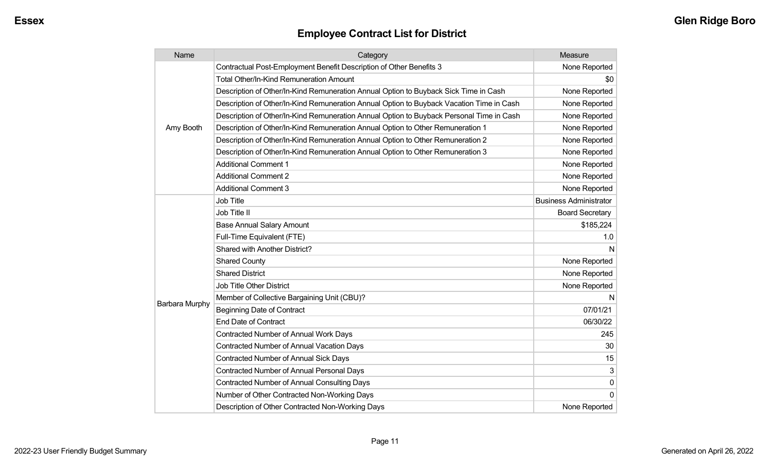| Name                  | Category                                                                                 | Measure                       |
|-----------------------|------------------------------------------------------------------------------------------|-------------------------------|
|                       | Contractual Post-Employment Benefit Description of Other Benefits 3                      | None Reported                 |
|                       | <b>Total Other/In-Kind Remuneration Amount</b>                                           | \$0                           |
|                       | Description of Other/In-Kind Remuneration Annual Option to Buyback Sick Time in Cash     | None Reported                 |
|                       | Description of Other/In-Kind Remuneration Annual Option to Buyback Vacation Time in Cash | None Reported                 |
| Amy Booth             | Description of Other/In-Kind Remuneration Annual Option to Buyback Personal Time in Cash | None Reported                 |
|                       | Description of Other/In-Kind Remuneration Annual Option to Other Remuneration 1          | None Reported                 |
|                       | Description of Other/In-Kind Remuneration Annual Option to Other Remuneration 2          | None Reported                 |
|                       | Description of Other/In-Kind Remuneration Annual Option to Other Remuneration 3          | None Reported                 |
|                       | <b>Additional Comment 1</b>                                                              | None Reported                 |
|                       | <b>Additional Comment 2</b>                                                              | None Reported                 |
|                       | <b>Additional Comment 3</b>                                                              | None Reported                 |
|                       | Job Title                                                                                | <b>Business Administrator</b> |
|                       | Job Title II                                                                             | <b>Board Secretary</b>        |
|                       | <b>Base Annual Salary Amount</b>                                                         | \$185,224                     |
|                       | Full-Time Equivalent (FTE)                                                               | 1.0                           |
|                       | <b>Shared with Another District?</b>                                                     | N                             |
|                       | <b>Shared County</b>                                                                     | None Reported                 |
|                       | <b>Shared District</b>                                                                   | None Reported                 |
|                       | <b>Job Title Other District</b>                                                          | None Reported                 |
|                       | Member of Collective Bargaining Unit (CBU)?                                              | N                             |
| <b>Barbara Murphy</b> | <b>Beginning Date of Contract</b>                                                        | 07/01/21                      |
|                       | <b>End Date of Contract</b>                                                              | 06/30/22                      |
|                       | <b>Contracted Number of Annual Work Days</b>                                             | 245                           |
|                       | <b>Contracted Number of Annual Vacation Days</b>                                         | 30                            |
|                       | <b>Contracted Number of Annual Sick Days</b>                                             | 15                            |
|                       | Contracted Number of Annual Personal Days                                                | 3                             |
|                       | <b>Contracted Number of Annual Consulting Days</b>                                       | 0                             |
|                       | Number of Other Contracted Non-Working Days                                              | 0                             |
|                       | Description of Other Contracted Non-Working Days                                         | None Reported                 |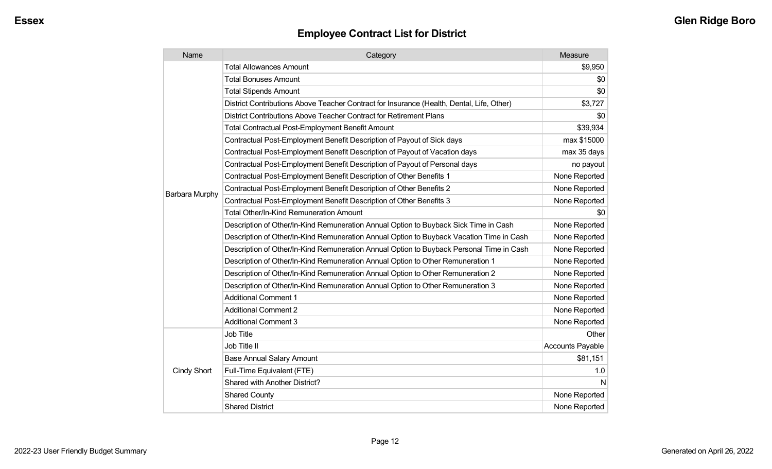| Name                  | Category                                                                                  | Measure                 |
|-----------------------|-------------------------------------------------------------------------------------------|-------------------------|
|                       | <b>Total Allowances Amount</b>                                                            | \$9,950                 |
|                       | <b>Total Bonuses Amount</b>                                                               | \$0                     |
|                       | <b>Total Stipends Amount</b>                                                              | \$0                     |
|                       | District Contributions Above Teacher Contract for Insurance (Health, Dental, Life, Other) | \$3,727                 |
|                       | District Contributions Above Teacher Contract for Retirement Plans                        | \$0                     |
|                       | <b>Total Contractual Post-Employment Benefit Amount</b>                                   | \$39,934                |
|                       | Contractual Post-Employment Benefit Description of Payout of Sick days                    | max \$15000             |
|                       | Contractual Post-Employment Benefit Description of Payout of Vacation days                | max 35 days             |
|                       | Contractual Post-Employment Benefit Description of Payout of Personal days                | no payout               |
|                       | Contractual Post-Employment Benefit Description of Other Benefits 1                       | None Reported           |
|                       | Contractual Post-Employment Benefit Description of Other Benefits 2                       | None Reported           |
| <b>Barbara Murphy</b> | Contractual Post-Employment Benefit Description of Other Benefits 3                       | None Reported           |
|                       | Total Other/In-Kind Remuneration Amount                                                   | \$0                     |
|                       | Description of Other/In-Kind Remuneration Annual Option to Buyback Sick Time in Cash      | None Reported           |
|                       | Description of Other/In-Kind Remuneration Annual Option to Buyback Vacation Time in Cash  | None Reported           |
|                       | Description of Other/In-Kind Remuneration Annual Option to Buyback Personal Time in Cash  | None Reported           |
|                       | Description of Other/In-Kind Remuneration Annual Option to Other Remuneration 1           | None Reported           |
|                       | Description of Other/In-Kind Remuneration Annual Option to Other Remuneration 2           | None Reported           |
|                       | Description of Other/In-Kind Remuneration Annual Option to Other Remuneration 3           | None Reported           |
|                       | <b>Additional Comment 1</b>                                                               | None Reported           |
|                       | <b>Additional Comment 2</b>                                                               | None Reported           |
|                       | <b>Additional Comment 3</b>                                                               | None Reported           |
|                       | <b>Job Title</b>                                                                          | Other                   |
|                       | Job Title II                                                                              | <b>Accounts Payable</b> |
|                       | <b>Base Annual Salary Amount</b>                                                          | \$81,151                |
| Cindy Short           | Full-Time Equivalent (FTE)                                                                | 1.0                     |
|                       | Shared with Another District?                                                             | N                       |
|                       | <b>Shared County</b>                                                                      | None Reported           |
|                       | <b>Shared District</b>                                                                    | None Reported           |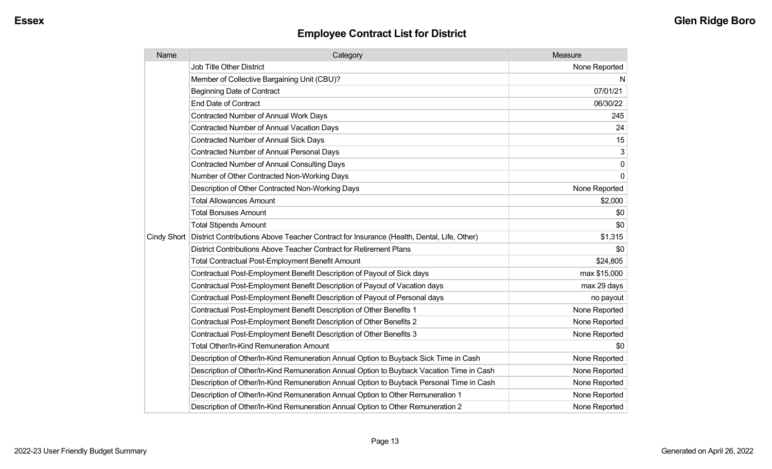| Name | Category                                                                                                | Measure       |
|------|---------------------------------------------------------------------------------------------------------|---------------|
|      | <b>Job Title Other District</b>                                                                         | None Reported |
|      | Member of Collective Bargaining Unit (CBU)?                                                             | N             |
|      | <b>Beginning Date of Contract</b>                                                                       | 07/01/21      |
|      | <b>End Date of Contract</b>                                                                             | 06/30/22      |
|      | <b>Contracted Number of Annual Work Days</b>                                                            | 245           |
|      | <b>Contracted Number of Annual Vacation Days</b>                                                        | 24            |
|      | <b>Contracted Number of Annual Sick Days</b>                                                            | 15            |
|      | <b>Contracted Number of Annual Personal Days</b>                                                        | 3             |
|      | <b>Contracted Number of Annual Consulting Days</b>                                                      | $\mathbf 0$   |
|      | Number of Other Contracted Non-Working Days                                                             | $\Omega$      |
|      | Description of Other Contracted Non-Working Days                                                        | None Reported |
|      | <b>Total Allowances Amount</b>                                                                          | \$2,000       |
|      | <b>Total Bonuses Amount</b>                                                                             | \$0           |
|      | <b>Total Stipends Amount</b>                                                                            | \$0           |
|      | Cindy Short   District Contributions Above Teacher Contract for Insurance (Health, Dental, Life, Other) | \$1,315       |
|      | District Contributions Above Teacher Contract for Retirement Plans                                      | \$0           |
|      | <b>Total Contractual Post-Employment Benefit Amount</b>                                                 | \$24,805      |
|      | Contractual Post-Employment Benefit Description of Payout of Sick days                                  | max \$15,000  |
|      | Contractual Post-Employment Benefit Description of Payout of Vacation days                              | max 29 days   |
|      | Contractual Post-Employment Benefit Description of Payout of Personal days                              | no payout     |
|      | Contractual Post-Employment Benefit Description of Other Benefits 1                                     | None Reported |
|      | Contractual Post-Employment Benefit Description of Other Benefits 2                                     | None Reported |
|      | Contractual Post-Employment Benefit Description of Other Benefits 3                                     | None Reported |
|      | <b>Total Other/In-Kind Remuneration Amount</b>                                                          | \$0           |
|      | Description of Other/In-Kind Remuneration Annual Option to Buyback Sick Time in Cash                    | None Reported |
|      | Description of Other/In-Kind Remuneration Annual Option to Buyback Vacation Time in Cash                | None Reported |
|      | Description of Other/In-Kind Remuneration Annual Option to Buyback Personal Time in Cash                | None Reported |
|      | Description of Other/In-Kind Remuneration Annual Option to Other Remuneration 1                         | None Reported |
|      | Description of Other/In-Kind Remuneration Annual Option to Other Remuneration 2                         | None Reported |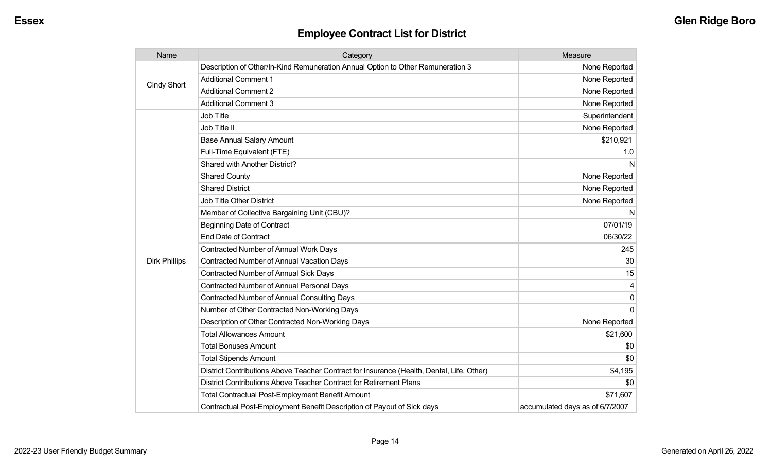| Name                 | Category                                                                                  | Measure                         |
|----------------------|-------------------------------------------------------------------------------------------|---------------------------------|
|                      | Description of Other/In-Kind Remuneration Annual Option to Other Remuneration 3           | None Reported                   |
| <b>Cindy Short</b>   | <b>Additional Comment 1</b>                                                               | None Reported                   |
|                      | <b>Additional Comment 2</b>                                                               | None Reported                   |
|                      | <b>Additional Comment 3</b>                                                               | None Reported                   |
|                      | Job Title                                                                                 | Superintendent                  |
|                      | Job Title II                                                                              | None Reported                   |
|                      | <b>Base Annual Salary Amount</b>                                                          | \$210,921                       |
|                      | Full-Time Equivalent (FTE)                                                                | 1.0                             |
|                      | Shared with Another District?                                                             | N                               |
|                      | <b>Shared County</b>                                                                      | None Reported                   |
|                      | <b>Shared District</b>                                                                    | None Reported                   |
|                      | <b>Job Title Other District</b>                                                           | None Reported                   |
|                      | Member of Collective Bargaining Unit (CBU)?                                               | N                               |
|                      | <b>Beginning Date of Contract</b>                                                         | 07/01/19                        |
|                      | <b>End Date of Contract</b>                                                               | 06/30/22                        |
|                      | <b>Contracted Number of Annual Work Days</b>                                              | 245                             |
| <b>Dirk Phillips</b> | <b>Contracted Number of Annual Vacation Days</b>                                          | 30                              |
|                      | Contracted Number of Annual Sick Days                                                     | 15                              |
|                      | <b>Contracted Number of Annual Personal Days</b>                                          | 4                               |
|                      | <b>Contracted Number of Annual Consulting Days</b>                                        | $\mathbf 0$                     |
|                      | Number of Other Contracted Non-Working Days                                               | $\Omega$                        |
|                      | Description of Other Contracted Non-Working Days                                          | None Reported                   |
|                      | <b>Total Allowances Amount</b>                                                            | \$21,600                        |
|                      | <b>Total Bonuses Amount</b>                                                               | \$0                             |
|                      | <b>Total Stipends Amount</b>                                                              | \$0                             |
|                      | District Contributions Above Teacher Contract for Insurance (Health, Dental, Life, Other) | \$4,195                         |
|                      | District Contributions Above Teacher Contract for Retirement Plans                        | \$0                             |
|                      | <b>Total Contractual Post-Employment Benefit Amount</b>                                   | \$71,607                        |
|                      | Contractual Post-Employment Benefit Description of Payout of Sick days                    | accumulated days as of 6/7/2007 |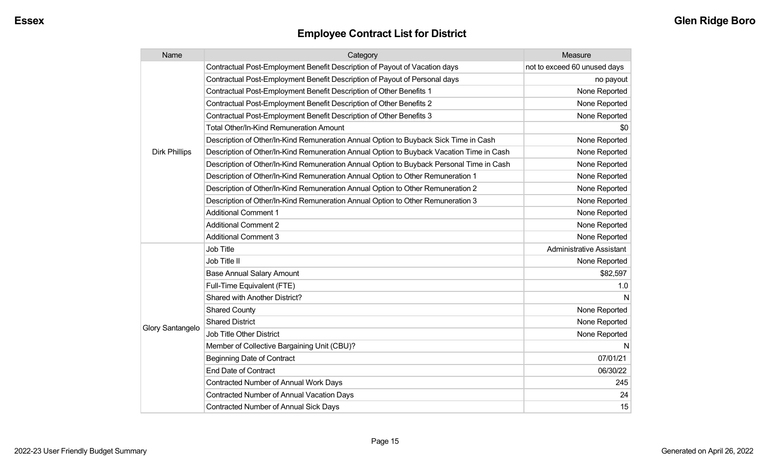| Name                 | Category                                                                                 | Measure                         |
|----------------------|------------------------------------------------------------------------------------------|---------------------------------|
|                      | Contractual Post-Employment Benefit Description of Payout of Vacation days               | not to exceed 60 unused days    |
|                      | Contractual Post-Employment Benefit Description of Payout of Personal days               | no payout                       |
|                      | Contractual Post-Employment Benefit Description of Other Benefits 1                      | None Reported                   |
|                      | Contractual Post-Employment Benefit Description of Other Benefits 2                      | None Reported                   |
|                      | Contractual Post-Employment Benefit Description of Other Benefits 3                      | None Reported                   |
|                      | <b>Total Other/In-Kind Remuneration Amount</b>                                           | \$0                             |
|                      | Description of Other/In-Kind Remuneration Annual Option to Buyback Sick Time in Cash     | None Reported                   |
| <b>Dirk Phillips</b> | Description of Other/In-Kind Remuneration Annual Option to Buyback Vacation Time in Cash | None Reported                   |
|                      | Description of Other/In-Kind Remuneration Annual Option to Buyback Personal Time in Cash | None Reported                   |
|                      | Description of Other/In-Kind Remuneration Annual Option to Other Remuneration 1          | None Reported                   |
|                      | Description of Other/In-Kind Remuneration Annual Option to Other Remuneration 2          | None Reported                   |
|                      | Description of Other/In-Kind Remuneration Annual Option to Other Remuneration 3          | None Reported                   |
|                      | <b>Additional Comment 1</b>                                                              | None Reported                   |
|                      | <b>Additional Comment 2</b>                                                              | None Reported                   |
|                      | <b>Additional Comment 3</b>                                                              | None Reported                   |
|                      | Job Title                                                                                | <b>Administrative Assistant</b> |
|                      | Job Title II                                                                             | None Reported                   |
|                      | <b>Base Annual Salary Amount</b>                                                         | \$82,597                        |
|                      | Full-Time Equivalent (FTE)                                                               | 1.0                             |
|                      | Shared with Another District?                                                            | N                               |
|                      | <b>Shared County</b>                                                                     | None Reported                   |
|                      | <b>Shared District</b>                                                                   | None Reported                   |
| Glory Santangelo     | Job Title Other District                                                                 | None Reported                   |
|                      | Member of Collective Bargaining Unit (CBU)?                                              | N                               |
|                      | <b>Beginning Date of Contract</b>                                                        | 07/01/21                        |
|                      | <b>End Date of Contract</b>                                                              | 06/30/22                        |
|                      | Contracted Number of Annual Work Days                                                    | 245                             |
|                      | <b>Contracted Number of Annual Vacation Days</b>                                         | 24                              |
|                      | <b>Contracted Number of Annual Sick Days</b>                                             | 15                              |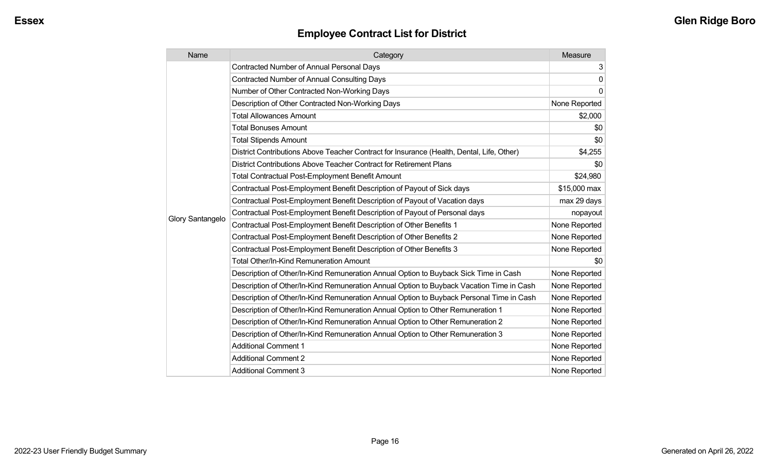| Name             | Category                                                                                  | Measure        |
|------------------|-------------------------------------------------------------------------------------------|----------------|
|                  | Contracted Number of Annual Personal Days                                                 | 3 <sup>1</sup> |
|                  | <b>Contracted Number of Annual Consulting Days</b>                                        | $\mathbf 0$    |
|                  | Number of Other Contracted Non-Working Days                                               | 0              |
|                  | Description of Other Contracted Non-Working Days                                          | None Reported  |
|                  | <b>Total Allowances Amount</b>                                                            | \$2,000        |
|                  | <b>Total Bonuses Amount</b>                                                               | \$0            |
|                  | <b>Total Stipends Amount</b>                                                              | \$0            |
|                  | District Contributions Above Teacher Contract for Insurance (Health, Dental, Life, Other) | \$4,255        |
|                  | District Contributions Above Teacher Contract for Retirement Plans                        | \$0            |
|                  | <b>Total Contractual Post-Employment Benefit Amount</b>                                   | \$24,980       |
|                  | Contractual Post-Employment Benefit Description of Payout of Sick days                    | \$15,000 max   |
|                  | Contractual Post-Employment Benefit Description of Payout of Vacation days                | max 29 days    |
|                  | Contractual Post-Employment Benefit Description of Payout of Personal days                | nopayout       |
| Glory Santangelo | Contractual Post-Employment Benefit Description of Other Benefits 1                       | None Reported  |
|                  | Contractual Post-Employment Benefit Description of Other Benefits 2                       | None Reported  |
|                  | Contractual Post-Employment Benefit Description of Other Benefits 3                       | None Reported  |
|                  | <b>Total Other/In-Kind Remuneration Amount</b>                                            | \$0            |
|                  | Description of Other/In-Kind Remuneration Annual Option to Buyback Sick Time in Cash      | None Reported  |
|                  | Description of Other/In-Kind Remuneration Annual Option to Buyback Vacation Time in Cash  | None Reported  |
|                  | Description of Other/In-Kind Remuneration Annual Option to Buyback Personal Time in Cash  | None Reported  |
|                  | Description of Other/In-Kind Remuneration Annual Option to Other Remuneration 1           | None Reported  |
|                  | Description of Other/In-Kind Remuneration Annual Option to Other Remuneration 2           | None Reported  |
|                  | Description of Other/In-Kind Remuneration Annual Option to Other Remuneration 3           | None Reported  |
|                  | <b>Additional Comment 1</b>                                                               | None Reported  |
|                  | <b>Additional Comment 2</b>                                                               | None Reported  |
|                  | <b>Additional Comment 3</b>                                                               | None Reported  |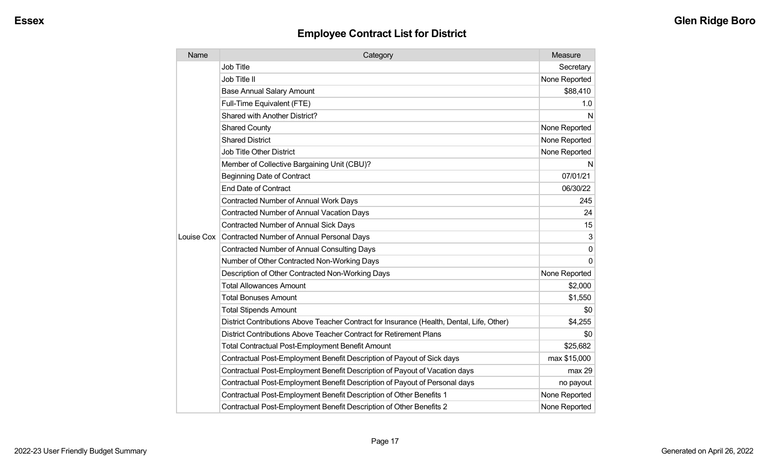| Name       | Category                                                                                  | Measure       |
|------------|-------------------------------------------------------------------------------------------|---------------|
|            | <b>Job Title</b>                                                                          | Secretary     |
|            | Job Title II                                                                              | None Reported |
|            | <b>Base Annual Salary Amount</b>                                                          | \$88,410      |
|            | Full-Time Equivalent (FTE)                                                                | 1.0           |
|            | <b>Shared with Another District?</b>                                                      | N             |
|            | <b>Shared County</b>                                                                      | None Reported |
|            | <b>Shared District</b>                                                                    | None Reported |
|            | <b>Job Title Other District</b>                                                           | None Reported |
|            | Member of Collective Bargaining Unit (CBU)?                                               | N             |
|            | <b>Beginning Date of Contract</b>                                                         | 07/01/21      |
|            | <b>End Date of Contract</b>                                                               | 06/30/22      |
|            | <b>Contracted Number of Annual Work Days</b>                                              | 245           |
|            | <b>Contracted Number of Annual Vacation Days</b>                                          | 24            |
|            | <b>Contracted Number of Annual Sick Days</b>                                              | 15            |
| Louise Cox | Contracted Number of Annual Personal Days                                                 | 3             |
|            | <b>Contracted Number of Annual Consulting Days</b>                                        | 0             |
|            | Number of Other Contracted Non-Working Days                                               | $\Omega$      |
|            | Description of Other Contracted Non-Working Days                                          | None Reported |
|            | <b>Total Allowances Amount</b>                                                            | \$2,000       |
|            | <b>Total Bonuses Amount</b>                                                               | \$1,550       |
|            | <b>Total Stipends Amount</b>                                                              | \$0           |
|            | District Contributions Above Teacher Contract for Insurance (Health, Dental, Life, Other) | \$4,255       |
|            | District Contributions Above Teacher Contract for Retirement Plans                        | \$0           |
|            | <b>Total Contractual Post-Employment Benefit Amount</b>                                   | \$25,682      |
|            | Contractual Post-Employment Benefit Description of Payout of Sick days                    | max \$15,000  |
|            | Contractual Post-Employment Benefit Description of Payout of Vacation days                | max 29        |
|            | Contractual Post-Employment Benefit Description of Payout of Personal days                | no payout     |
|            | Contractual Post-Employment Benefit Description of Other Benefits 1                       | None Reported |
|            | Contractual Post-Employment Benefit Description of Other Benefits 2                       | None Reported |